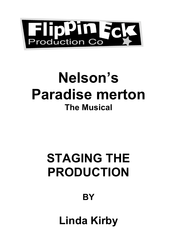

# **Nelson's Paradise merton The Musical**

# **STAGING THE PRODUCTION**

# **BY**

**Linda Kirby**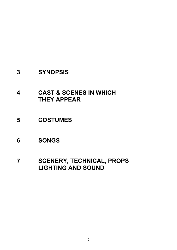## **SYNOPSIS**

- **CAST & SCENES IN WHICH THEY APPEAR**
- **COSTUMES**
- **SONGS**
- **SCENERY, TECHNICAL, PROPS LIGHTING AND SOUND**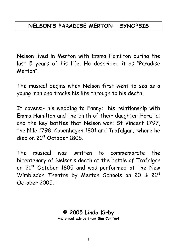# **NELSON'S PARADISE MERTON – SYNOPSIS**

Nelson lived in Merton with Emma Hamilton during the last 5 years of his life. He described it as "Paradise Merton".

The musical begins when Nelson first went to sea as a young man and tracks his life through to his death.

It covers:- his wedding to Fanny; his relationship with Emma Hamilton and the birth of their daughter Horatia; and the key battles that Nelson won: St Vincent 1797, the Nile 1798, Copenhagen 1801 and Trafalgar, where he died on 21st October 1805.

The musical was written to commemorate the bicentenary of Nelson's death at the battle of Trafalgar on 21st October 1805 and was performed at the New Wimbledon Theatre by Merton Schools on 20 & 21st October 2005.

# **© 2005 Linda Kirby**

**Historical advice from Sim Comfort**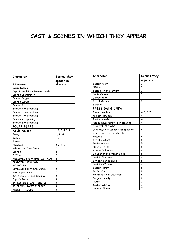# **CAST & SCENES IN WHICH THEY APPEAR**

| Character                         | Scenes they             |
|-----------------------------------|-------------------------|
|                                   | appear in               |
| 4 Narrators                       | All scenes              |
| Young Nelson                      | 1                       |
| Captain Suckling - Nelson's uncle | 1                       |
| Captain Skeffington               | 1                       |
| Seaman Briggs                     | 1                       |
| Captain Ludwig                    | 1                       |
| Seaman 1                          | $\mathbf{1}$            |
| Seaman 2 non speaking             | $\mathbf{1}$            |
| Seaman 3 non speaking             | 1                       |
| Seaman 4 non speaking             | $\mathbf{1}$            |
| Seam 5 non speaking               | $\mathbf{1}$            |
| Seaman 6 non speaking             | 1                       |
| <b>POLAR BEARS</b>                |                         |
| <b>Adult Nelson</b>               | 1, 2, 3, 4, 5, 9        |
| Fanny                             | 1, 2, 4                 |
| Josiah                            | 1, 2                    |
| Parson                            | 1                       |
|                                   |                         |
| Napoleon                          | 2, 3, 5, 9              |
| Admiral Sir John Jervis           | 2                       |
| Captain                           | $\overline{\mathbf{c}}$ |
| Officer                           | 2                       |
| NELSON'S CREW HMS CAPTAIN         | $\overline{c}$          |
| SPANISH CREW SAN                  | $\overline{c}$          |
| <b>NICHOLAS</b>                   |                         |
| SPANISH CREW SAN JOSEF            | 2                       |
| Newspaper seller                  | 2                       |
| King George 11 - non speaking     | $\overline{c}$          |
| Captain Berry                     | 3                       |
| 14 BATTLE SHIPS - BRITISH         | 3                       |
| <b>13 FRENCH BATTLE SHIPS</b>     | 3<br>3                  |

| Character                           | Scenes they |
|-------------------------------------|-------------|
|                                     | appear in   |
| Captain Foley                       | 3           |
| Officer                             | 3           |
| Captain of the l'Orient             | 3           |
| Captain's son                       | 3           |
| L'orient crew                       | 3           |
| British Captain                     | 3           |
| Surgeon                             | 3           |
| PRESS GANG CREW                     |             |
| <b>Emma Hamilton</b>                | 4, 5, 6, 7  |
| <b>William Hamilton</b>             | 4           |
| Italian crowds                      | 4           |
| Naples Royal Family - non speaking  | 4           |
| FNGLISH CROWDS                      | 4           |
| Lord Mayor of London - non speaking | 4           |
| Rev Nelson - Nelson's brother       | 4           |
| Midwife                             | 4           |
| <b>British soldiers</b>             | 5           |
| Danish soldiers                     | 5           |
| Horatia - child                     | 5           |
| <b>Admiral Villaneuve</b>           | 6           |
| 33 Spanish and French Ships         | 6           |
| Captain Blackwood                   | 6           |
| British fleet 26 ships              | 6           |
| Captains 47th meal                  | 6           |
| Captain Hardy                       | 6           |
| Doctor Scott                        | 6           |
| Mr Pasco - Flag Lieutenant          | 6           |
| Surgeon Beatty                      | 6           |
| Nurse                               | 7           |
| Captain Whitby                      | 7           |
| Seamen, Marines                     | 7           |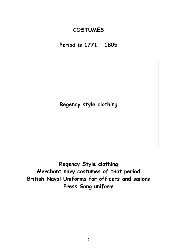## **COSTUMES**

**Period is 1771 – 1805**

**Regency style clothing**

**Regency Style clothing Merchant navy costumes of that period British Naval Uniforms for officers and sailors Press Gang uniform**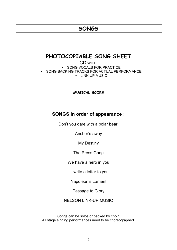### **SONGS**

### **PHOTOCOPIABLE SONG SHEET**

CD WITH: SONG VOCALS FOR PRACTICE • SONG BACKING TRACKS FOR ACTUAL PERFORMANCE • LINK-UP MUSIC

**MUSICAL SCORE**

#### **SONGS in order of appearance :**

Don't you dare with a polar bear!

Anchor's away

My Destiny

The Press Gang

We have a hero in you

I'll write a letter to you

Napoleon's Lament

Passage to Glory

NELSON LINK-UP MUSIC

Songs can be solos or backed by choir. All stage singing performances need to be choreographed.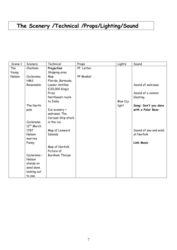# **The Scenery /Technical /Props/Lighting/Sound**

| Scene 1 | Scenery                        | Technical                        | Props     | Lights   | Sound                 |
|---------|--------------------------------|----------------------------------|-----------|----------|-----------------------|
| The     | Chatham                        | Projection                       | PP Letter |          |                       |
| Young   |                                | Shipping area                    |           |          |                       |
| Nelson  | Cyclarama                      | Map                              | PP Musket |          |                       |
|         | <b>HMS</b>                     | Florida, Bermuda,                |           |          |                       |
|         | Raisonable                     | Lesser Antilles                  |           |          | Sound of walruses     |
|         |                                | £20,000 King's                   |           |          |                       |
|         |                                | Prize                            |           |          | Sound of a cannon     |
|         |                                | Northwest route                  |           |          | blasting              |
|         |                                | to India                         |           | Blue Icy |                       |
|         | The North                      |                                  |           | light    | Song: Don't you dare  |
|         | pole                           | Ice scenery +                    |           |          | with a Polar Bear     |
|         |                                | walruses. The                    |           |          |                       |
|         |                                | Carcass Ship stuck               |           |          |                       |
|         | Cyclarama                      | in the ice.                      |           |          |                       |
|         | 12 <sup>th</sup> March<br>1787 |                                  |           |          | Sound of sea and wind |
|         | Nelson                         | Map of Leeward<br><b>Islands</b> |           |          | at Norfolk            |
|         | marries                        |                                  |           |          |                       |
|         | Fanny                          |                                  |           |          | <b>Link Music</b>     |
|         |                                | Map of Norfolk                   |           |          |                       |
|         |                                | Picture of                       |           |          |                       |
|         | Cyclarama-                     | Burnham Thorpe                   |           |          |                       |
|         | Nelson                         |                                  |           |          |                       |
|         | stands on                      |                                  |           |          |                       |
|         | sand dune                      |                                  |           |          |                       |
|         | looking out                    |                                  |           |          |                       |
|         | to sea                         |                                  |           |          |                       |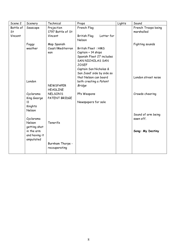| Scene 2   | Scenery       | Technical         | Props                      | Lights | Sound                           |
|-----------|---------------|-------------------|----------------------------|--------|---------------------------------|
| Battle of | Seascape      | Projection        | French Flag                |        | French Troops being             |
| St        |               | 1797 Battle of St |                            |        | marshalled                      |
| Vincent   |               | Vincent           | British Flag<br>Letter for |        |                                 |
|           |               |                   | Nelson                     |        |                                 |
|           | Foggy         | Map Spanish       |                            |        | Fighting sounds                 |
|           | weather       | Coast/Mediterran  | <b>British Fleet: HMS</b>  |        |                                 |
|           |               | ean               | Captain + 14 ships         |        |                                 |
|           |               |                   | Spanish Fleet 27 includes  |        |                                 |
|           |               |                   | <b>SAN NICHOLAS SAN</b>    |        |                                 |
|           |               |                   | <b>JOSEF</b>               |        |                                 |
|           |               |                   | Captain San Nicholas &     |        |                                 |
|           |               |                   | San Josef side by side so  |        |                                 |
|           |               |                   | that Nelson can board      |        | London street noise             |
|           | London        |                   | both creating a Patent     |        |                                 |
|           |               | <b>NEWSPAPER</b>  | <b>Bridge</b>              |        |                                 |
|           |               | <b>HEADLINE</b>   |                            |        |                                 |
|           | Cyclarama     | NELSON'S          | PPs Weapons                |        | Crowds cheering                 |
|           | King George   | PATENT BRIDGE     |                            |        |                                 |
|           | 11            |                   | Newspapers for sale        |        |                                 |
|           | Knights       |                   |                            |        |                                 |
|           | Nelson        |                   |                            |        |                                 |
|           | Cyclarama     |                   |                            |        | Sound of arm being<br>sawn off. |
|           | Nelson        | Tenerife          |                            |        |                                 |
|           | getting shot  |                   |                            |        |                                 |
|           | in the arm    |                   |                            |        | Song: My Destiny                |
|           | and having it |                   |                            |        |                                 |
|           | amputated     |                   |                            |        |                                 |
|           |               | Burnham Thorpe -  |                            |        |                                 |
|           |               | recouperating     |                            |        |                                 |
|           |               |                   |                            |        |                                 |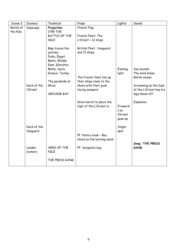| Scene 3               | Scenery           | Technical                                                                       | Props                                                   | Lights                                  | Sound                                            |
|-----------------------|-------------------|---------------------------------------------------------------------------------|---------------------------------------------------------|-----------------------------------------|--------------------------------------------------|
| Battle of<br>the Nile | Seascape          | Projection<br>1798 THE<br>BATTLE OF THE<br><b>NILE</b>                          | French Flag<br>French Fleet: The<br>L'Orient + 12 ships |                                         |                                                  |
|                       |                   | Map traces the<br>journey<br>India, Egypt,<br>Malta, Middle<br>East, Gibraltar, | British Fleet: Vanguard<br>and 13 ships                 |                                         |                                                  |
|                       |                   | Malta, Syria,<br>Greece, Turkey                                                 |                                                         | Evening<br>light                        | Sea sounds<br>The wind blows                     |
|                       |                   |                                                                                 | The French fleet line up                                |                                         | Battle noises                                    |
|                       | Deck of the       | The pyramids at<br>Ghiza                                                        | their ships close to the                                |                                         |                                                  |
|                       | l'Orient          |                                                                                 | shore with their guns<br>facing seaward                 |                                         | Screaming as the Capt<br>of the L'Orient has his |
|                       |                   | <b>ABOUKIR BAY</b>                                                              |                                                         |                                         | legs blown off.                                  |
|                       |                   |                                                                                 | Grain barrel to place the<br>Capt of the L'Orient in.   | Firework<br>s as<br>l'Orient<br>goes up | Explosion                                        |
|                       | Deck of the       |                                                                                 |                                                         | Single                                  |                                                  |
|                       | Vanguard          |                                                                                 | PP Poetry book - Boy<br>stood on the burning deck.      | spot                                    | Song: THE PRESS                                  |
|                       | London<br>scenery | HERO OF THE<br><b>NILE</b>                                                      | PP Surgeon's bag                                        |                                         | GANG                                             |
|                       |                   | THE PRESS GANG                                                                  |                                                         |                                         |                                                  |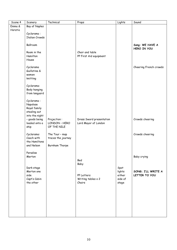| Scene 4 | Scenery                  | Technical          | Props                     | Lights  | Sound                          |
|---------|--------------------------|--------------------|---------------------------|---------|--------------------------------|
| Emma &  | Bay of Naples            |                    |                           |         |                                |
| Horatio |                          |                    |                           |         |                                |
|         | Cyclarama:               |                    |                           |         |                                |
|         | <b>Italian Crowds</b>    |                    |                           |         |                                |
|         | Ballroom                 |                    |                           |         | Song: WE HAVE A<br>HERO IN YOU |
|         | Room in the              |                    | Chair and table           |         |                                |
|         | Hamilton                 |                    | PP First Aid equipment    |         |                                |
|         | House                    |                    |                           |         |                                |
|         |                          |                    |                           |         |                                |
|         | Cyclarama                |                    |                           |         | Cheering French crowds         |
|         | Guillotine &             |                    |                           |         |                                |
|         | women                    |                    |                           |         |                                |
|         | knitting                 |                    |                           |         |                                |
|         |                          |                    |                           |         |                                |
|         | Cyclarama:               |                    |                           |         |                                |
|         | Body hanging             |                    |                           |         |                                |
|         | from langyard            |                    |                           |         |                                |
|         |                          |                    |                           |         |                                |
|         | Cyclarama:               |                    |                           |         |                                |
|         | Napolese                 |                    |                           |         |                                |
|         | Royal family             |                    |                           |         |                                |
|         | stealing out             |                    |                           |         |                                |
|         | into the night           |                    |                           |         |                                |
|         | - goods being            | Projection:        | Dress Sword presentation  |         | Crowds cheering                |
|         | loaded onto a            | LONDON - HERO      | Lord Mayor of London      |         |                                |
|         | ship                     | OF THE NILE        |                           |         |                                |
|         |                          |                    |                           |         |                                |
|         | Cyclarama:<br>Coach with | The Tour - map     |                           |         | Crowds cheering                |
|         | the Hamiltons            | traces the journey |                           |         |                                |
|         | and Nelson               |                    |                           |         |                                |
|         |                          | Burnham Thorpe     |                           |         |                                |
|         | Paradise                 |                    |                           |         |                                |
|         | Merton                   |                    |                           |         | Baby crying                    |
|         |                          |                    | Bed                       |         |                                |
|         |                          |                    | Baby                      |         |                                |
|         | Dark stage               |                    |                           | Spot    |                                |
|         | Merton one               |                    |                           | lights  | SONG; I'LL WRITE A             |
|         | side                     |                    | PP Letters                | either  | LETTER TO YOU                  |
|         | Capt's Cabin             |                    | Writing tables $\times$ 2 | side of |                                |
|         | the other                |                    | Chairs                    | stage   |                                |
|         |                          |                    |                           |         |                                |
|         |                          |                    |                           |         |                                |
|         |                          |                    |                           |         |                                |
|         |                          |                    |                           |         |                                |
|         |                          |                    |                           |         |                                |
|         |                          |                    |                           |         |                                |
|         |                          |                    |                           |         |                                |
|         |                          |                    |                           |         |                                |
|         |                          |                    |                           |         |                                |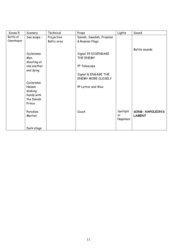| Scene 5    | Scenery     | Technical   | Props                     | Lights    | Sound            |
|------------|-------------|-------------|---------------------------|-----------|------------------|
| Battle of  | Sea scape - | Projection  | Danish, Swedish, Prussian |           |                  |
| Copenhagen |             | Baltic area | & Russian Flags           |           |                  |
|            |             |             |                           |           |                  |
|            |             |             |                           |           | Battle sounds    |
|            | Cyclarama:  |             | Signal 39 DISENGAGE       |           |                  |
|            | Men         |             | THE ENEMY                 |           |                  |
|            | shooting at |             |                           |           |                  |
|            | one another |             | PP Telescope              |           |                  |
|            | and dying   |             |                           |           |                  |
|            |             |             | Signal I6 ENGAGE THE      |           |                  |
|            |             |             | <b>ENEMY MORE CLOSELY</b> |           |                  |
|            | Cyclarama:  |             |                           |           |                  |
|            | Nelson      |             | PP Letter and Wax         |           |                  |
|            | shaking     |             |                           |           |                  |
|            | hands with  |             |                           |           |                  |
|            | the Danish  |             |                           |           |                  |
|            | Prince      |             |                           |           |                  |
|            | Paradise    |             | Couch                     | Spotlight | SONG: NAPOLEON'S |
|            | Merton      |             |                           | on        | <b>LAMENT</b>    |
|            |             |             |                           | Napoleon  |                  |
|            |             |             |                           |           |                  |
|            | Dark stage  |             |                           |           |                  |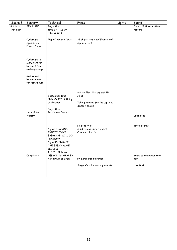| Scene 6                | Scenery                                                           | Technical                                                                                                                                       | Props                                                                                         | Lights | Sound                             |
|------------------------|-------------------------------------------------------------------|-------------------------------------------------------------------------------------------------------------------------------------------------|-----------------------------------------------------------------------------------------------|--------|-----------------------------------|
| Battle of<br>Trafalgar | SEASCAPE                                                          | Projection<br>1805 BATTLE OF<br><b>TRAFALGAR</b>                                                                                                |                                                                                               |        | French National Anthem<br>Fanfare |
|                        | Cyclarama:<br>Spanish and<br>French Ships                         | Map of Spanish Coast                                                                                                                            | 33 ships - Combined French and<br>Spanish fleet                                               |        |                                   |
|                        | Cyclarama: St<br>Mary's Church<br>Nelson & Emma<br>exchange rings |                                                                                                                                                 |                                                                                               |        |                                   |
|                        | Cyclarama:<br>Nelson leaves<br>for Portsmouth                     |                                                                                                                                                 |                                                                                               |        |                                   |
|                        | Deck of the<br>Victory                                            | September 1805<br>Nelson's 47 <sup>th</sup> birthday<br>celebration<br>Projection:<br>Battle plan flashes                                       | British Fleet: Victory and 25<br>ships<br>Table prepared for the captains'<br>dinner + chairs |        | Drum rolls                        |
|                        |                                                                   | Signal: ENGLAND<br>EXPECTS THAT<br>EVERYMAN WILL DO<br>HIS DUTY<br>Signal I6: ENGAGE<br>THE ENEMY MORE<br><b>CLOSELY</b><br>$1.15 215T$ October | Nelson's Will<br>Sand thrown onto the deck<br>Cannons rolled in                               |        | Battle sounds                     |
|                        | Orlop Deck                                                        | NELSON IS SHOT BY<br>A FRENCH SNIPER                                                                                                            | PP Large Handkerchief                                                                         |        | Sound of men groaning in<br>pain  |
|                        |                                                                   |                                                                                                                                                 | Surgeon's table and implements                                                                |        | Link Music                        |